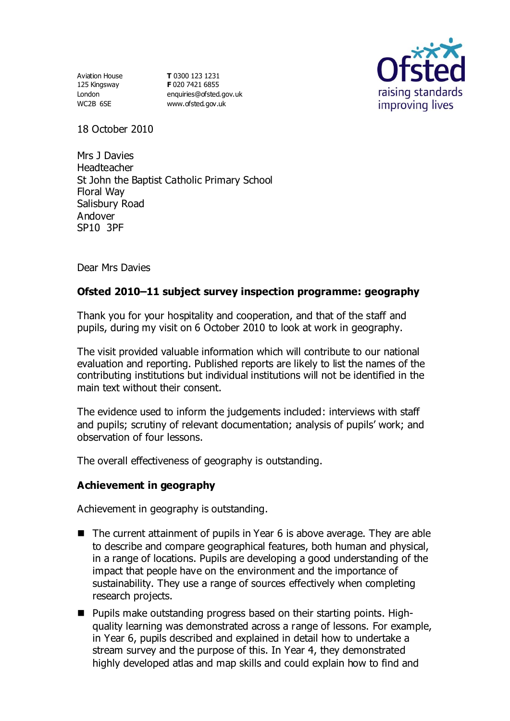Aviation House 125 Kingsway London WC2B 6SE

**T** 0300 123 1231 **F** 020 7421 6855 [enquiries@ofsted.gov.uk](mailto:enquiries@ofsted.gov.uk) [www.ofsted.gov.uk](http://www.ofsted.gov.uk/)



18 October 2010

Mrs J Davies Headteacher St John the Baptist Catholic Primary School Floral Way Salisbury Road Andover SP10 3PF

Dear Mrs Davies

# **Ofsted 2010–11 subject survey inspection programme: geography**

Thank you for your hospitality and cooperation, and that of the staff and pupils, during my visit on 6 October 2010 to look at work in geography.

The visit provided valuable information which will contribute to our national evaluation and reporting. Published reports are likely to list the names of the contributing institutions but individual institutions will not be identified in the main text without their consent.

The evidence used to inform the judgements included: interviews with staff and pupils; scrutiny of relevant documentation; analysis of pupils' work; and observation of four lessons.

The overall effectiveness of geography is outstanding.

### **Achievement in geography**

Achievement in geography is outstanding.

- The current attainment of pupils in Year 6 is above average. They are able to describe and compare geographical features, both human and physical, in a range of locations. Pupils are developing a good understanding of the impact that people have on the environment and the importance of sustainability. They use a range of sources effectively when completing research projects.
- Pupils make outstanding progress based on their starting points. Highquality learning was demonstrated across a range of lessons. For example, in Year 6, pupils described and explained in detail how to undertake a stream survey and the purpose of this. In Year 4, they demonstrated highly developed atlas and map skills and could explain how to find and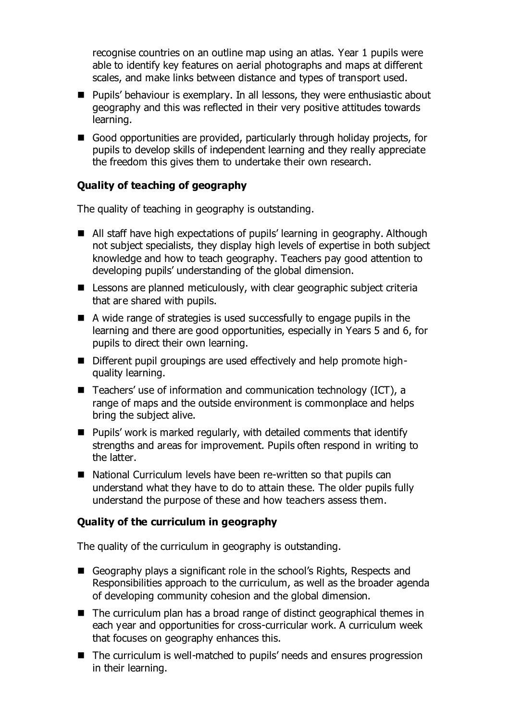recognise countries on an outline map using an atlas. Year 1 pupils were able to identify key features on aerial photographs and maps at different scales, and make links between distance and types of transport used.

- Pupils' behaviour is exemplary. In all lessons, they were enthusiastic about geography and this was reflected in their very positive attitudes towards learning.
- Good opportunities are provided, particularly through holiday projects, for pupils to develop skills of independent learning and they really appreciate the freedom this gives them to undertake their own research.

### **Quality of teaching of geography**

The quality of teaching in geography is outstanding.

- All staff have high expectations of pupils' learning in geography. Although not subject specialists, they display high levels of expertise in both subject knowledge and how to teach geography. Teachers pay good attention to developing pupils' understanding of the global dimension.
- Lessons are planned meticulously, with clear geographic subject criteria that are shared with pupils.
- A wide range of strategies is used successfully to engage pupils in the learning and there are good opportunities, especially in Years 5 and 6, for pupils to direct their own learning.
- Different pupil groupings are used effectively and help promote highquality learning.
- Teachers' use of information and communication technology (ICT), a range of maps and the outside environment is commonplace and helps bring the subject alive.
- $\blacksquare$  Pupils' work is marked regularly, with detailed comments that identify strengths and areas for improvement. Pupils often respond in writing to the latter.
- National Curriculum levels have been re-written so that pupils can understand what they have to do to attain these. The older pupils fully understand the purpose of these and how teachers assess them.

### **Quality of the curriculum in geography**

The quality of the curriculum in geography is outstanding.

- Geography plays a significant role in the school's Rights, Respects and Responsibilities approach to the curriculum, as well as the broader agenda of developing community cohesion and the global dimension.
- The curriculum plan has a broad range of distinct geographical themes in each year and opportunities for cross-curricular work. A curriculum week that focuses on geography enhances this.
- The curriculum is well-matched to pupils' needs and ensures progression in their learning.